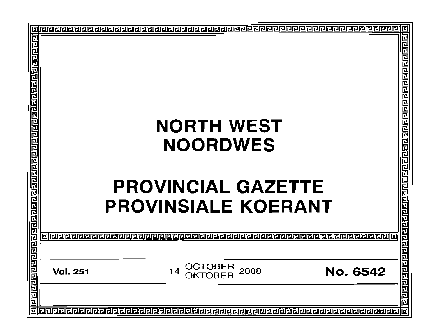|   |                 |                                                            | 回                                     |
|---|-----------------|------------------------------------------------------------|---------------------------------------|
|   |                 |                                                            | 딘                                     |
|   |                 | <b>NORTH WEST</b>                                          |                                       |
|   |                 |                                                            |                                       |
|   |                 | <b>NOORDWES</b>                                            |                                       |
|   |                 |                                                            |                                       |
|   |                 | <b>PROVINCIAL GAZETTE</b><br><b>PROVINSIALE KOERANT</b>    |                                       |
|   | alielei         |                                                            |                                       |
|   |                 |                                                            |                                       |
|   | <b>Vol. 251</b> | <b>OCTOBER</b><br>2008<br><b>No. 6542</b><br>14<br>ОКТОВЕВ | व बाह्य बाह्य बाह्य बाह्य बाह्य बाह्य |
|   |                 |                                                            |                                       |
| 靣 |                 |                                                            | 回                                     |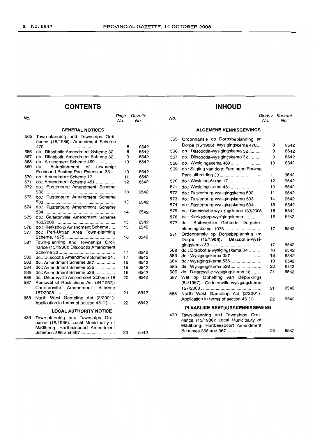# **CONTENTS INHOUD**

| No.                           |                                                                             | Page<br>No. | Gazette<br>No. | No. |                                            | No. | <b>Bladsy Koerant</b><br>No. |
|-------------------------------|-----------------------------------------------------------------------------|-------------|----------------|-----|--------------------------------------------|-----|------------------------------|
|                               | <b>GENERAL NOTICES</b>                                                      |             |                |     | <b>ALGEMENE KENNISGEWINGS</b>              |     |                              |
| 565                           | Town-planning and Townships Ordi-<br>nance (15/1986): Amendment Scheme      |             |                | 565 | Ordonnansie op Dorpsbeplanning en          |     |                              |
|                               |                                                                             | 8           | 6542           |     | Dorpe (15/1986): Wysigingskema 470         | 8   | 6542                         |
| 566                           | do.: Ditsobotla Amendment Scheme 32.                                        | 8           | 6542           | 566 | do.: Ditsobotla-wysigingskema 32           | 8   | 6542                         |
| 567                           | do.: Ditsobotla Amendment Scheme 32.                                        | 9           | 6542           | 567 | do.: Ditsobotla-wysigingskema 32           | 9   | 6542                         |
| 568                           | do.: Amendment Scheme 469                                                   | 10          | 6542           | 568 | do.: Wysigingskema 469                     | 10  | 6542                         |
| 569                           | do.:<br>Establishment<br>of township:                                       |             |                | 569 | do.: Stigting van dorp: Ferdinand Postma   |     |                              |
|                               | Ferdinand Postma Park Extension 33                                          | 10          | 6542           |     |                                            | 11  | 6542                         |
| 570                           | do.: Amendment Scheme 17                                                    | 11          | 6542           | 570 | do.: Wysigingskema 17                      | 12  | 6542                         |
| 571<br>572                    | do.: Amendment Scheme 451                                                   | 12          | 6542           |     |                                            |     |                              |
|                               | do.: Rustenburg Amendment Scheme                                            | 13          | 6542           | 571 |                                            | 13  | 6542                         |
| 573                           | do.: Rustenburg Amendment Scheme                                            |             |                | 572 | do.: Rustenburg-wysigingskema 532          | 14  | 6542                         |
|                               |                                                                             | 13          | 6542           | 573 | do.: Rustenburg-wysigingskema 533          | 14  | 6542                         |
| 574                           | do.: Rustenburg Amendment Scheme                                            |             |                | 574 | do.: Rustenburg-wysigingskema 534          | 15  | 6542                         |
|                               |                                                                             | 14          | 6542           | 575 | do.: Carletonville-wysigingskema 163/2008  | 16  | 6542                         |
| 575                           | do.: Carletonville Amendment Scheme                                         |             |                | 576 | do.: Klerksdorp-wysigingskema              | 16  | 6542                         |
|                               |                                                                             | 15          | 6542           | 577 | do.: Buitestelike Gebiede Dorpsbe-         |     |                              |
| 576                           | do.: Klerksdorp Amendment Scheme                                            | 15          | 6542           |     | planningskema, 1975                        | 17  | 6542                         |
| 577                           | do.: Peri-Urban Area Town-planning                                          |             |                | 581 | Ordonnansie op Dorpsbeplanning en          |     |                              |
|                               |                                                                             | 16          | 6542           |     | $(15/1986)$ :<br>Ditsobotla-wysi-<br>Dorpe |     |                              |
| 581                           | Town-planning and Townships Ordi-                                           |             |                |     |                                            | 17  | 6542                         |
|                               | nance (15/1986): Ditsobotla Amendment                                       |             |                | 582 | do.: Ditsobotla-wysigingskema 34           | 18  | 6542                         |
|                               |                                                                             | 17          | 6542           | 583 |                                            | 18  | 6542                         |
| 582<br>583                    | do.: Ditsobotla Amendment Scheme 34.<br>do.: Amendment Scheme 357           | 17<br>18    | 6542<br>6542   | 584 | do.: Wysigingskema 535                     | 19  | 6542                         |
| 584                           | do.: Amendment Scheme 535                                                   | 19          | 6542           | 585 | do.: Wysigingskema 528                     | 20  | 6542                         |
| 585                           | do.: Amendment Scheme 528                                                   | 19          | 6542           | 586 | do.: Delareyville-wysigingskema 16         | 21  | 6542                         |
| 586                           | do.: Delareyville Amendment Scheme 16                                       | 20          | 6542           | 587 | Wet op Opheffing van Beperkings            |     |                              |
| 587                           | Removal of Restrictions Act (84/1967):                                      |             |                |     | (84/1967): Carletonville-wysigingskema     |     |                              |
|                               | Carletonville<br>Amendment<br>Scheme                                        |             |                |     |                                            | 21  | 6542                         |
|                               |                                                                             | 21          | 6542           | 588 | North West Gambling Act (2/2001):          |     |                              |
| 588                           | North West Gambling Act (2/2001):                                           |             |                |     | Application in terms of section 45 (1)     | 22  | 6542                         |
|                               | Application in terms of section 45 (1)                                      | 22          | 6542           |     |                                            |     |                              |
| <b>LOCAL AUTHORITY NOTICE</b> |                                                                             |             |                |     | <b>PLAASLIKE BESTUURSKENNISGEWING</b>      |     |                              |
|                               |                                                                             |             |                | 439 | Town-planning and Townships Ordi-          |     |                              |
| 439                           | Town-planning and Townships Ordi-<br>nance (15/1986): Local Municipality of |             |                |     | nance (15/1986): Local Municipality of     |     |                              |
|                               | Madibeng: Hartbeespoort Amendment                                           |             |                |     | Madibeng: Hartbeespoort Amendment          |     |                              |
|                               |                                                                             | 23          | 6542           |     | Schemes 366 and 367                        | 23  | 6542                         |
|                               |                                                                             |             |                |     |                                            |     |                              |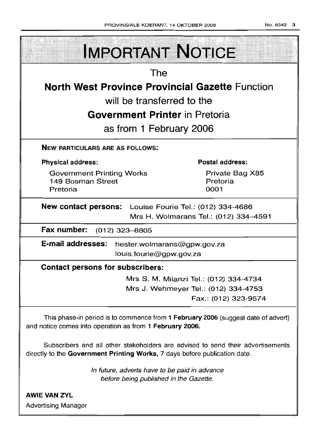| <b>IMPORTANT NOTICE</b>                                                                                                                       |                                        |
|-----------------------------------------------------------------------------------------------------------------------------------------------|----------------------------------------|
| The                                                                                                                                           |                                        |
| <b>North West Province Provincial Gazette Function</b>                                                                                        |                                        |
| will be transferred to the                                                                                                                    |                                        |
| <b>Government Printer</b> in Pretoria                                                                                                         |                                        |
| as from 1 February 2006                                                                                                                       |                                        |
| <b>NEW PARTICULARS ARE AS FOLLOWS:</b>                                                                                                        |                                        |
| <b>Physical address:</b>                                                                                                                      | <b>Postal address:</b>                 |
| <b>Government Printing Works</b><br>149 Bosman Street<br>Pretoria                                                                             | Private Bag X85<br>Pretoria<br>0001    |
| <b>New contact persons:</b> Louise Fourie Tel.: (012) 334-4686                                                                                | Mrs H. Wolmarans Tel.: (012) 334-4591  |
| Fax number: (012) 323-8805                                                                                                                    |                                        |
| E-mail addresses:<br>hester.wolmarans@gpw.gov.za<br>louis.fourie@gpw.gov.za                                                                   |                                        |
| <b>Contact persons for subscribers:</b>                                                                                                       |                                        |
|                                                                                                                                               | Mrs S. M. Milanzi Tel.: (012) 334-4734 |
|                                                                                                                                               | Mrs J. Wehmeyer Tel.: (012) 334-4753   |
|                                                                                                                                               | Fax.: (012) 323-9574                   |
| This phase-in period is to commence from 1 February 2006 (suggest date of advert)<br>and notice comes into operation as from 1 February 2006. |                                        |

Subscribers and all other stakeholders are advised to send their advertisements directly to the Government Printing Works, 7 days before publication date.

> In future, adverts have to be paid in advance before being published in the Gazette.

AWIE VAN ZVL Advertising Manager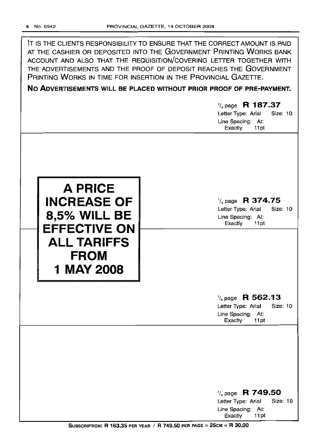| IT IS THE CLIENTS RESPONSIBILITY TO ENSURE THAT THE CORRECT AMOUNT IS PAID<br>AT THE CASHIER OR DEPOSITED INTO THE GOVERNMENT PRINTING WORKS BANK<br>ACCOUNT AND ALSO THAT THE REQUISITION/COVERING LETTER TOGETHER WITH<br>THE ADVERTISEMENTS AND THE PROOF OF DEPOSIT REACHES THE GOVERNMENT<br>PRINTING WORKS IN TIME FOR INSERTION IN THE PROVINCIAL GAZETTE.<br>NO ADVERTISEMENTS WILL BE PLACED WITHOUT PRIOR PROOF OF PRE-PAYMENT. |                                                                                                          |  |  |  |
|-------------------------------------------------------------------------------------------------------------------------------------------------------------------------------------------------------------------------------------------------------------------------------------------------------------------------------------------------------------------------------------------------------------------------------------------|----------------------------------------------------------------------------------------------------------|--|--|--|
|                                                                                                                                                                                                                                                                                                                                                                                                                                           | $\frac{1}{4}$ page R 187.37<br>Letter Type: Arial<br>Size: 10<br>Line Spacing: At:<br>Exactly<br>11pt    |  |  |  |
| <b>A PRICE</b><br><b>INCREASE OF</b><br><b>8,5% WILL BE</b><br><b>EFFECTIVE ON</b><br><b>ALL TARIFFS</b><br><b>FROM</b><br>1 MAY 2008                                                                                                                                                                                                                                                                                                     | R 374.75<br>$\frac{1}{4}$ page<br>Size: 10<br>Letter Type: Arial<br>Line Spacing: At:<br>Exactly<br>11pt |  |  |  |
|                                                                                                                                                                                                                                                                                                                                                                                                                                           | $\frac{1}{4}$ page R 562.13<br>Letter Type: Arial<br>Size: 10<br>Line Spacing: At:<br>Exactly<br>11pt    |  |  |  |
|                                                                                                                                                                                                                                                                                                                                                                                                                                           | $\frac{1}{4}$ page R 749.50<br>Size: 10<br>Letter Type: Arial<br>Line Spacing: At:                       |  |  |  |

Exactly 11 pt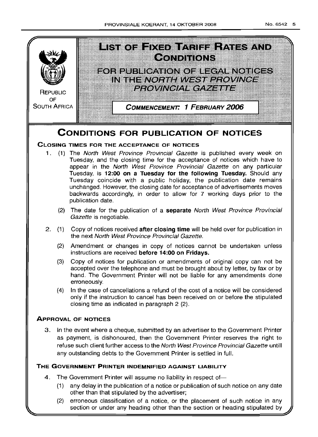

- (1) any delay in the publication of a notice or publication of such notice on any date other than that stipulated by the advertiser;
- (2) erroneous classification of a notice, or the placement of such notice in any section or under any heading other than the section or heading stipulated by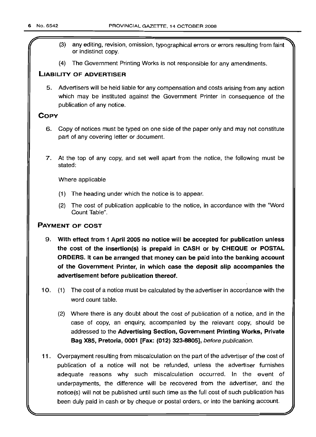- (3) any editing, revision, omission, typographical errors or errors resulting from faint or indistinct copy.
- (4) The Government Printing Works is not responsible for any amendments.

# LIABILITY OF ADVERTISER

5. Advertisers will be held liable for any compensation and costs arising from any action which may be instituted against the Government Printer in consequence of the publication of any notice.

# **COPY**

- 6. Copy of notices must be typed on one side of the paper only and may not constitute part of any covering letter or document.
- 7. At the top of any copy, and set well apart from the notice, the following must be stated:

Where applicable

- (1) The heading under which the notice is to appear.
- (2) The cost of publication applicable to the notice, in accordance with the "Word Count Table".

# PAYMENT OF COST

- 9. With effect from 1 April 2005 no notice will be accepted for publication unless the cost of the insertion(s) is prepaid in CASH or by CHEQUE or POSTAL ORDERS. It can be arranged that money can be paid into the banking account of the Government Printer, in which case the deposit slip accompanies the advertisement before publication thereof.
- 10. (1) The cost of a notice must be calculated by the advertiser in accordance with the word count table.
	- (2) Where there is any doubt about the cost of publication of a notice, and in the case of copy, an enquiry, accompanied by the relevant copy, should be addressed to the Advertising Section, Government Printing Works, Private Bag X85, Pretoria, 0001 [Fax: (012) 323-8805], before publication.
- 11 . Overpayment resulting from miscalculation on the part of the advertiser of the cost of publication of a notice will not be refunded, unless the advertiser furnishes adequate reasons why such miscalculation occurred. In the event of underpayments, the difference will be recovered from the advertiser, and the notice(s) will not be published until such time as the full cost of such publicatlon has been duly paid in cash or by cheque or postal orders, or into the banking account.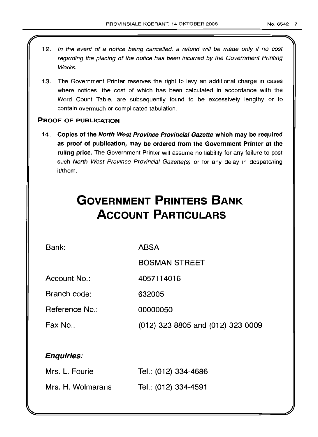- 12. In the event of a notice being cancelled, a refund will be made only if no cost regarding the placing of the notice has been incurred by the Government Printing Works.
- 13. The Government Printer reserves the right to levy an additional charge in cases where notices, the cost of which has been calculated in accordance with the Word Count Table, are subsequently found to be excessively lengthy or to contain overmuch or complicated tabulation.

# PROOF OF PUBLICATION

14. Copies of the North West Province Provincial Gazette which may be required as proof of publication, may be ordered from the Government Printer at the ruling price. The Government Printer will assume no liability for any failure to post such North West Province Provincial Gazette(s) or for any delay in despatching it/them.

# **GOVERNMENT PRINTERS BANK ACCOUNT PARTICULARS**

Bank:

ABSA

BOSMAN STREET

Account No.: 4057114016

Branch code: 632005

Reference No.: 00000050

Fax No.: (012) 323 8805 and (012) 323 0009

# Enquiries:

| Mrs. L. Fourie    | Tel.: (012) 334-4686 |
|-------------------|----------------------|
| Mrs. H. Wolmarans | Tel.: (012) 334-4591 |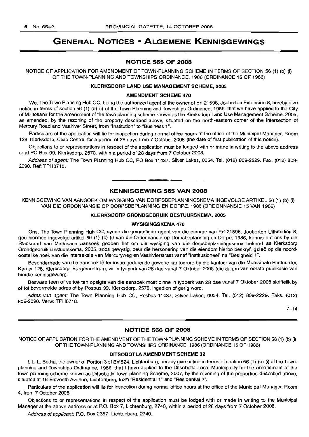# **GENERAL NOTICES • ALGEMENE KENNISGEWINGS**

# **NOTICE 565 OF 2008**

NOTICE OF APPLICATION FOR AMENDMENT OF TOWN-PLANNING SCHEME IN TERMS OF SECTION 56 (1) (b) (i) OF THE TOWN-PLANNING AND TOWNSHIPS ORDINANCE, 1986 (ORDINANCE 15 OF 1986)

# **KLERKSDORP LAND USE MANAGEMENT SCHEME, 2005**

#### **AMENDMENT SCHEME 470**

We, The Town Planning Hub CC, being the authorized agent of the owner of Erf 21596, Jouberton Extension 8, hereby give notice in terms of section 56 (1) (b) (i) of the Town Planning and Townships Ordinance, 1986, that we have applied to the City of Matlosana for the amendment of the town planning scheme known as the Klerksdorp Land Use Management Scheme, 2005, as amended; by the rezoning of the property described above, situated on the north-eastern corner of the intersection of Mercury Road and Vaalriver Street, from "Institution" to "Business 1".

Particulars of the application will lie for inspection during normal office hours at the office of the Municipal Manager, Room 128, Klerksdorp, Civic Centre, for a period of 28 days from 7 October 2008 (the date of first publication of this notice).

Objections to or representations in respect of the application must be lodged with or made in writing to the above address or at PO Box 99, Klerksdorp, 2570, within a period of 28 days from 7 October 2008.

Address of agent: The Town Planning Hub CC, PO Box 11437, Silver Lakes, 0054. Tel. (012) 809-2229. Fax. (012) 809-2090. Ref: TPH8718.

# **• KENNISGEWING 565 VAN 2008**

KENNISGEWING VAN AANSOEK OM WYSIGING VAN DORPSBEPLANNINGSKEMA INGEVOLGE ARTIKEL 56 (1) (b) (i) VAN DIE ORDONNANSIE OP DORPSBEPLANNING EN DORPE, 1986 (ORDONNANSIE 15 VAN 1986)

# **KLERKSDORP GRONDGEBRUIK BESTUURSKEMA, 2005**

#### **WYSIGINGSKEMA 470**

Ons, The Town Planning Hub CC, synde die gemagtigde agent van die eienaar van Erf 21596, Jouberton Uitbreiding 8, gee hiermee ingevolge artikel 56 (1) (b) (i) van die Ordonnansie op Dorpsbeplanning en Dorpe, 1986, kennis dat ons by die Stadsraad van Matlosana aansoek gedoen het om die wysiging van die dorpsbeplanningskema bekend as Klerksdorp Grondgebruik Bestuurskema, 2005, soos gewysig, deur die hersonering van die eiendom hierbo beskryf, qelee op die noordoostelike hoek van die interseksie van Mercuryweg en Vaalrivierstraat vanaf "Institusioneel" na "Besigheid 1".

Besonderhede van die aansoek lê ter insae gedurende gewone kantoorure by die kantoor van die Munisipale Bestuurder, Kamer 128, Klerksdorp, Burgersentrum, vir 'n tydperk van 28 dae vanaf 7 Oktober 2008 (die datum van eerste publikasie van hierdie kennisgewing).

Besware teen of vertoe ten opsigte van die aansoek moet binne 'n tydperk van 28 dae vanaf 7 Oktober 2008 skriftelik by of tot bovermelde adres of by Posbus 99, Klerksdorp, 2570, ingedien of gerig word.

Adres van agent: The Town Planning Hub CC, Posbus 11437, Silver Lakes, 0054. Tel. (012) 809-2229. Faks. (012) 809-2090. Verw: TPH8718.

 $7 - 14$ 

# **NOTICE 566 OF 2008**

NOTICE OF APPLICATION FOR THE AMENDMENT OF THE TOWN-PLANNING SCHEME IN TERMS OF SECTION 56 (1) (b) (i) OF THE TOWN-PLANNING AND TOWNSHIPS ORDINANCE, 1986 (ORDINANCE 15 OF 1986)

# **DITSOBOTLA AMENDMENT SCHEME 32**

I, L. L. Botha, the owner of Portion 3 of Erf 824, Lichtenburg, hereby give notice in terms of section 56 (1) (b) (i) of the Townplanning and Townships Ordinance, 1986, that I have applied to the Ditsobotla Local Municipality for the amendment of the town-planning scheme known as Ditsobotla Town-planning Scheme, 2007, by the rezoning of the properties described above, situated at 16 Eleventh Avenue, Lichtenburg, from "Residential 1" and "Residential 2".

Particulars of the application will lie for inspection during normal office hours at the office of the Municipal Manager, Room 4, from 7 October 2008.

Objections to or representations in respect of the application must be lodged with or made in writing to the Municipal Manager at the above address or at P.O. Box 7, Lichtenburg, 2740, within a period of 28 days from 7 October 2008.

Address of applicant: P.O. Box 2357, Lichtenburg, 2740.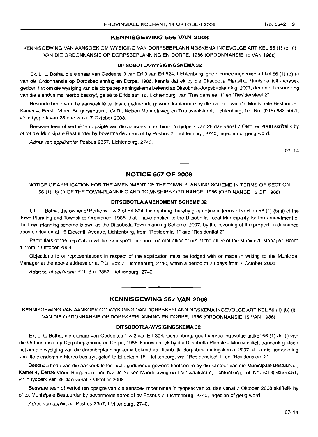# **KENNISGEWING 566 VAN 2008**

KENNISGEWING VAN AANSOEK OM WYSIGING VAN DORPSBEPLANNINGSKEMA INGEVOLGE ARTIKEL 56 (1) (b) (i) VAN DIE ORDONNANSIE OP DORPSBEPLANNING EN DORPE, 1986 (ORDONNANSIE 15 VAN 1986)

### **DITSOBOTLA-WYSIGINGSKEMA 32**

Ek, L. L. Botha, die eienaar van Gedeelte 3 van Erf 3 van Erf 824, Lichtenburg, gee hiermee ingevolge artikel 56 (1) (b) (i) van die Ordonnansie op Dorpsbeplanning en Dorpe, 1986, kennis dat ek by die Ditsobotla Plaaslike Munisipaliteit aansoek gedoen het om die wysiging van die dorpsbeplanningskema bekend as Ditsobotla-dorpsbeplanning, 2007, deur die hersonering van die eiendomme hierbo beskryf, geleë te Elfdelaan 16, Lichtenburg, van "Residensieel 1" en "Residensieel 2".

Besonderhede van die aansoek lê ter insae gedurende gewone kantoorure by die kantoor van die Munisipale Bestuurder, Kamer 4, Eerste Vloer, Burgersentrum, h/v Dr. Nelson Mandelaweg en Transvaalstraat, Lichtenburg, Tel. No. (018) 632-5051, vir 'n tydperk van 28 dae vanaf 7 Oktober 2008.

Besware teen of vertoë ten opsigte van die aansoek moet binne 'n tydperk van 28 dae vanaf 7 Oktober 2008 skriftelik by of tot die Munisipale Bestuurder by bovermelde adres of by Posbus 7, Lichtenburg, 2740, ingedien of gerig word.

Adres van applikante: Posbus 2357, Lichtenburg, 2740.

07-14

# **NOTICE 567 OF 2008**

NOTICE OF APPLICATION FOR THE AMENDMENT OF THE TOWN-PLANNING SCHEME IN TERMS OF SECTION 56 (1) (b) (i) OF THE TOWN-PLANNING AND TOWNSHIPS ORDINANCE, 1986 (ORDINANCE 15 OF 1986)

# **DITSOBOTLA AMENDMENT SCHEME 32**

I, L. L. Botha, the owner of Portions 1 & 2 of Erf 824, Lichtenburg, hereby give notice in terms of section 56 (1) (b) (i) of the Town Planning and Townships Ordinance, 1986, that I have applied to the Ditsobotla Local Municipality for the amendment of the tovyn-planning scheme known as the Ditsobotla Town-planning Scheme, 2007, by the rezoning of the properties described above, situated at 16 Eleventh Avenue, Lichtenburg, from "Residential 1" and "Residential 2".

Particulars of the application will lie for inspection during normal office hours at the office of the Municipal Manager, Room 4, from 7 October 2008.

Objections to or representations in respect of the application must be lodged with or made in writing to the Municipal Manager at the above address or at P.O. Box 7, Lichtenburg, 2740, within a period of 28 days from 7 October 2008.

Address of applicant: P.O. Box 2357, Lichtenburg, 2740.

# **KENNISGEWING 567 VAN 2008**

**• •**

KENNISGEWING VAN AANSOEK OM WYSIGING VAN DORPSBEPLANNINGSKEMA INGEVOLGE ARTIKEL 56 (1) (b) (i) VAN DIE ORDONNANSIE OP DORPSBEPLANNING EN DORPE, 1986 (ORDONNANSIE 15 VAN 1986)

# **DITSOBOTLA-WYSIGINGSKEMA 32**

Ek, L. L. Botha, die eienaar van Gedeeltes 1 &2 van Erf 824, Lichtenburg, gee hiermee ingevolge artikel 56 (1) (b) (i) van die Ordonnansie op Dorpsbeplanning en Dorpe, 1986, kennis dat ek by die Ditsobotla Plaaslike Munisipaliteit aansoek gedoen het am die wysiging van die dorpsbeplanningskema bekend as Ditsobotla-dorpsbeplanningskema, 2007, deur die hersonering van die eiendomme hierbo beskryf, geleë te Elfdelaan 16, Lichtenburg, van "Residensieel 1" en "Residensieel 2".

Besonderhede van die aansoek lê ter insae gedurende gewone kantoorure by die kantoor van die Munisipale Bestuurder, Kamer 4, Eerste Vloer, Burgersentrum, h/v Dr. Nelson Mandelaweg en Transvaalstraat, Lichtenburg, Tel. No. (018) 632-5051, vir 'n tydperk van 28 dae vanaf 7 Oktober 2008.

Besware teen of vertoe ten opsigte van die aansoek moet binne 'n tydperk van 28 dae vanaf 7 Oktober 2008 skriftelik by of tot Munisipale Bestuurder by bovermelde adres of by Posbus 7, Lichtenburg, 2740, ingedien of gerig word.

Adres van applikant: Posbus 2357, Lichtenburg, 2740.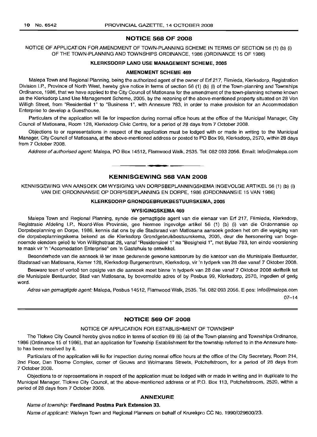# **NOTICE 568 OF 2008**

NOTICE OF APPLICATION FOR AMENDMENT OF TOWN-PLANNING SCHEME IN TERMS OF SECTION 56 (1) (b) (i) OF THE TOWN-PLANNING AND TOWNSHIPS ORDINANCE, 1986 (ORDINANCE 15 OF 1986)

### **KLERKSDORP LAND USE MANAGEMENT SCHEME, 2005**

#### **AMENDMENT SCHEME** 469

Malepa Town and Regional Planning, being the authorized agent of the owner of Erf 217, Flimieda, Klerksdorp, Registration Division I.P., Province of North West, hereby give notice in terms of section 56 (1) (b) (i) of the Town-planning and Townships Ordinance, 1986, that we have applied to the City Council of Matlosana for the amendment of the town-planning scheme known as the Klerksdorp Land Use Management Scheme, 2005, by the rezoning of the above-mentioned property situated on 28 Von Willigh Street, from "Residential 1" to "Business 1", with Annexure 783, in order to make provision for an Accommodation Enterprise to develop a Guesthouse.

Particulars of the application will lie for inspection during normal office hours at the office of the Municipal Manager, City Council of Matlosana, Room 128, Klerksdorp Civic Centre, for a period of 28 days from 7 October 2008.

Objections to or representations in respect of the application must be lodged with or made in writing to the Municipal Manager, City Council of Matlosana, at the above-mentioned address or posted to PO Box 99, Klerksdorp, 2570, within 28 days from 7 October 2008.

Address of authorised agent: Malepa, PO Box 14512, Flamwood Walk, 2535, Tel: 082 093 2056. Email: Info@malepa.com

### **KENNISGEWING 568 VAN 2008**

**• •**

KENNISGEWING VAN AANSOEK OM WYSIGING VAN DORPSBEPLANNINGSKEMA INGEVOLGE ARTIKEL 56 (1) (b) (i) VAN DIE ORDONNANSIE OP DORPSBEPLANNING EN DORPE, 1986 (ORDONNANSIE 15 VAN 1986)

# **KLERKSDORP GRONDGEBRUIKBESTUURSKEMA, 2005**

#### **WYSIGINGSKEMA 469**

Malepa Town and Regional Planning, synde die gemagtigde agent van die eienaar van Erf 217, Flimieda, Klerksdorp, Registrasie Afdeling J.P., Noord-Wes Provinsie, gee hiermee ingevolge artikel 56 (1) (b) (i) van die Ordonnansie op Dorpsbeplanning en Dorpe, 1986, kennis dat ons by die Stadsraad van Matlosana aansoek gedoen het om die wysiging van die dorpsbeplanningskema bekend as die Klerksdorp Grondgebruikbestuurskema, 2005, deur die hersonering van bogenoemde eiendom geleë te Von Willighstraat 28, vanaf "Residensieel 1" na "Besigheid 1", met Bylae 783, ten einde voorsiening te maak vir 'n "Accomodation Enterprise" om 'n Gastehuis te ontwikkel.

Besonderhede van die aansoek iê ter insae gedurende gewone kantoorure by die kantoor van die Munisipale Bestuurder, Stadsraad van Matlosana, Kamer 128, Klerksdorp Burgersentrum, Klerksdorp, vir 'n tydperk van 28 dae vanaf 7 Oktober 2008.

Besware teen of vertoë ten opsigte van die aansoek moet binne 'n tydperk van 28 dae vanaf 7 Oktober 2008 skriftelik tot die Munisipale Bestuurder, Stad van Matlosana, by bovermelde adres of by Posbus 99, Klerksdorp, 2570, ingedien of gerig word.

Adres van gemagtigde agent: Malepa, Posbus 14512, Flamwood Walk, 2535. Tel. 082 093 2056. E-pos: Info@malepa.com

07-14

# **NOTICE 569 OF 2008**

# NOTICE OF APPLICATION FOR ESTABLISHMENT OF TOWNSHIP

The Tlokwe City Council hereby gives notice in terms of section 69 (6) (a) of the Town-planning and Townships Ordinance, 1986 (Ordinance 15 of 1986), that an application for Township Establishment for the township referred to in the Annexure hereto has been received by it.

Particulars of the application will lie for inspection during normal office hours at the office of the City Secretary, Room 214, 2nd Floor, Dan Tloome Complex, corner of Gouws and Wolmarans Streets, Potchefstroom, for a period of 28 days from 7 October 2008.

Objections to or representations in respect of the application must be lodged with or made in writing and in duplicate to the Municipal Manager, Tlokwe City Council, at the above-mentioned address or at P.O. Box 113, Potchefstroom, 2520, within a period of 28 days from 7 October 2008.

#### **ANNEXURE**

# Name of township: **Ferdinand Postma Park Extension** 33.

Name of applicant: Welwyn Town and Regional Planners on behalf of Krurekpro CC No. 1990/029600/23.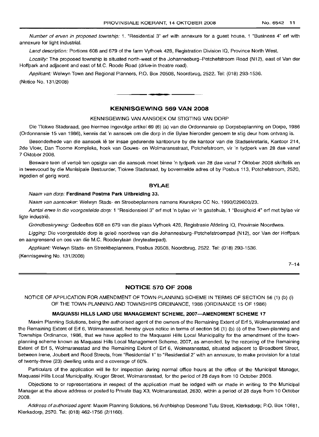Number of erven in proposed township: 1. "Residential 3" erf with annexure for a guest house, 1 "Business 4" erf with annexure for light industrial.

Land description: Portions 608 and 679 of the farm Vyfhoek 428, Registration Division IQ, Province North West.

Locality: The proposed township is situated north-west of the Johannesburg-Potchefstroom Road (N12), east of Van der Hoffpark and adjacent and east of M.C. Roode Road (drive-in theatre road).

Applicant: Welwyn Town and Regional Planners, P.O. Box 20508, Noordbrug, 2522. Tel: (018) 293-1536.

(Notice No. 131/2008)

# **KENNISGEWING 569 VAN 2008**

**• •**

#### KENNISGEWING VAN AANSOEK OM STIGTING VAN DORP

Die Tlokwe Stadsraad, gee hiermee ingevolge artikel 69 (6) (a) van die Ordonnansie op Dorpsbeplanning en Dorpe, 1986 (Ordonnansie 15 van 1986), kennis dat 'n aansoek om die dorp in die Bylae hieronder genoem te stig deur hom ontvang is.

Besonderhede van die aansoek lê ter insae gedurende kantoorure by die kantoor van die Stadsekretaris, Kantoor 214, 2de Vloer, Dan Tloome Kompleks, hoek van Gouws- en Wolmaransstraat, Potchefstroom, vir 'n tydperk van 28 dae vanaf 7 Oktober 2008.

Besware teen of vertoë ten opsigte van die aansoek moet binne 'n tydperk van 28 dae vanaf 7 Oktober 2008 skriftelik en in tweevooud by die Munisipale Bestuurder, Tlokwe Stadsraad, by bovermelde adres of by Posbus 113, Potchefstroom, 2520, ingedien of gerig word.

# **BYLAE**

#### Naam van dorp: **Ferdinand Postma Park Uitbreiding** 33.

Naam van aansoeker: Welwyn Stads- en Streebeplanners namens Krurekpro CC No. 1990/029600/23.

Aantal erwe in die voorgestelde dorp: 1 "Residensieel 3" erf met 'n bylae vir 'n gastehuis, 1 "Besigheid 4" erf met bylae vir ligte industrie.

Grondbeskrywing: Gedeeltes 608 en 679 van die plaas Vyfhoek 428, Registrasie Afdeling IQ, Provinsie Noordwes.

Ligging: Die voorgestelde dorp is geleë noordwes van die Johannesburg-Potchefstroompad (N12), oor Van der Hoffpark en aangrensend en oos van die M.C. Rooderylaan (Inryteaterpad).

Applikant: Welwyn Stads- en Streekbeplanners, Posbus 20508, Noordbrug, 2522. Tel: (018) 293-1536.

(Kennisgewing No. 131/2008)

 $7 - 14$ 

# **NOTICE 570 OF 2008**

NOTICE OF APPLICATION FOR AMENDMENT OF TOWN-PLANNING SCHEME IN TERMS OF SECTION 56 (1) (b) (i) OF THE TOWN-PLANNING AND TOWNSHIPS ORDINANCE, 1986 (ORDINANCE 15 OF 1986)

#### **MAQUASSI HILLS LAND USE MANAGEMENT SCHEME, 2007-AMENDMENT SCHEME 17**

Maxim Planning Solutions, being the authorised agent of the owners of the Remaining Extent of Erf 5, Wolmaransstad and the Remaining Extent of Erf 6, Wolmaransstad, hereby gives notice in terms of section 56 (1) (b) (i) of the Town-planning and Townships Ordinance, 1986, that we have applied to the Maquassi Hills Local Municipality for the amendment of the townplanning scheme known as Maquassi Hills Local Management Scheme, 2007, as amended, by the rezoning of the Remaining Extent of Erf 5, Wolmaransstad and the Remaining Extent of Erf 6, Wolmaransstad, situated adjacent to Broadbent Street, between Irene, Joubert and Rood Streets, from "Residential 1"to "Residential 2" with an annexure, to make provision for a total of twenty-three (23) dwelling units and a coverage of 60%.

Particulars of the application will lie for inspection during normal office hours at the office of the Municipal Manager, Maquassi Hills Local Municipality, Kruger Street, Wolmaransstad, for the period of 28 days from 10 October 2008.

Objections to or representations in respect of the application must be lodged with or made in writing to the Municipal Manager at the above address or posted to Private Bag X3, Wolmaransstad, 2630, within a period of 28 days from 10 October 2008.

Address of authorised agent: Maxim Planning Solutions, 56 Archbishop Desmond Tutu Street, Klerksdorp; P.O. Box 10681, Klerksdorp, 2570. Tel: (018) 462-1756 (2/1160).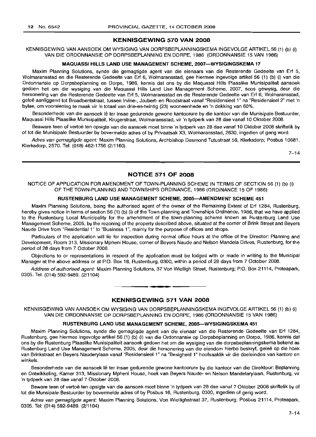# **KENNISGEWING 570 VAN 2008**

KENNISGEWING VAN AANSOEK OM WYSIGING VAN DORPSBEPLANNINGSKEMA INGEVOLGE ARTIKEL 56 (1) (b) (i) VAN DIE ORDONNANSIE OP DORPSBEPLANNING EN DORPE, 1986 (ORDONNANSIE 15 VAN 1986)

### **MAQUASSI HILLS LAND USE MANAGEMENT SCHEME, 2007-WYSIGINGSKEMA** 17

Maxim Planning Solutions, synde die gemagtigde agent van die eienaars van die Resterende Gedeelte van Erf 5, Wolmaransstad en die Resterende Gedeelte van Erf 6, Wolmaransstad, gee hiermee ingevolge artikel 56 (1) (b) (i) van die Ordonnansie op Dorpsbeplanning en Dorpe, 1986, kennis dat ons by die Maquassi Hills Plaaslike Munisipaliteit aansoek gedoen het om die wysiging van die Maquassi Hills Land Use Management Scheme, 2007, soos gewysig, deur die hersonering van die Resterende Gedeelte van Erf 5, Wolmaransstad en die Resterende Gedeelte van Erf 6, Wolmaransstad, gelee aanliggend tot Broadbentstraat, tussen Irvine-, Joubert- en Roodstraat vanaf "Residensieel 1" na "Residensieel 2" met 'n bylae, om voorsiening te maak vir 'n totaal van drie-en-twintig (23) wooneenhede en 'n dekking van 60%.

Besonderhede van die aansoek lê ter insae gedurende gewone kantoorure by die kantoor van die Munisipale Bestuurder, Maquassi Hills Plaaslike Munisipaliteit, Krugerstraat, Wolmaransstad, vir 'n tydperk van 28 dae vanaf 10 Oktober 2008.

Besware teen of vertoe ten opsigte van die aansoek moet binne 'n tydperk van 28 dae vanaf 10 Oktober 2008 skriftelik by of tot die Munisipale Bestuurder by bovermelde adres of by Privaatsak X3, Wolmaransstad, 2630, ingedien of gerig word.

Adres van gemagtigde agent: Maxim Planning Solutions, Archbishop Desmond Tutustraat 56, Klerksdorp; Posbus 10681, Klerksdorp, 2570. Tel: (018) 462-1756 (2/1160).

 $7 - 14$ 

# **NOTICE 571 OF 2008**

NOTICE OF APPLICATION FOR AMENDMENT OF TOWN-PLANNING SCHEME IN TERMS OF SECTION 56 (1) (b) (i) OF THE TOWN-PLANNING AND TOWNSHIPS ORDINANCE, 1986 (ORDINANCE 15 OF 1986)

#### **RUSTENBURG LAND USE MANAGEMENT SCHEME, 2005-AMENDMENT SCHEME 451**

Maxim Planning Solutions, being the authorised agent of the owner of the Remaining Extent of Erf 1284, Rustenburg, hereby gives notice in terms of section 56 (1) (b) (i) of the Town-planning and Townships Ordinance, 1986, that we have applied to the Rustenburg Local Municipality for the amendment of the town-planning scheme known as Rustenburg Land Use Management Scheme, 2005, by the rezoning of the property described above, situated at the corner of Brink Street and Beyers Naude Drive from "Residential 1" to "Business 1", mainly for the purpose of offices and shops.

Particulars of the application will lie for inspection during normal office hours at the office of the Director: Planning and Development, Room 313, Missionary Mpheni House, corner of Beyers Naude and Nelson Mandela Drives, Rustenburg, for the period of 28 days from 7 October 2008.

Objections to or representations in respect of the application must be lodged with or made in writing to the Municipal Manager at the above address or at PO. Box 16, Rustenburg, 0300, within a period of 28 days from 7 October 2008.

Address of authorised agent: Maxim Planning Solutions, 37 Von Wielligh Street, Rustenburg; P.O. Box 21114, Proteapark, 0305. Tel: (014) 592-9489. (2/1104) .**-.**

# **KENNISGEWING 571 VAN 2008**

KENNISGEWING VAN AANSOEK OM WYSIGING VAN DORPSBEPLANNINGSKEMA INGEVOLGE ARTIKEL 56 (1) (b) (i) VAN DIE ORDONNANSIE OP DORPSBEPLANNING EN DORPE, 1986 (ORDONNANSIE 15 VAN 1986)

#### **RUSTENBURG LAND USE MANAGEMENT SCHEME, 2005-WYSIGINGSKEMA 451**

Maxim Planning Solutions, synde die gemagtigde agent van die eienaar van die Resterende Gedeelte van Erf 1284, Rustenburg, gee hiermee ingevolge artikel 56 (1) (b) (i) van die Ordonnansie op Dorpsbeplanning en Dorpe, 1986, kennis dat ons by die Rustenburg Plaaslike Munisipaliteit aansoek gedoen het om die wysiging van die dorpsbeplanningskema bekend as Rustenburg Land Use Management Scheme, 2005, deur die hersonering van die eiendom hierbo beskryf, gelee op die hoek van Brinkstraat en Beyers Nauderylaan vanaf "Residensieel 1" na "Besigheid 1" hoofsaaklik vir die doeleindes van kantore en winkels.

Besonderhede van die aansoek lê ter insae gedurende gewone kantoorure by die kantoor van die Direkteur: Beplanning en Ontwikkeling, Kamer 313, Missionary Mpheni House, hoek van Beyers Naude- en Nelson Mandelarylaan, Rustenburg, vir 'n tydperk van 28 dae vanaf 7 Oktober 2008.

Beware teen of vertoë ten opsigte van die aansoek moet binne 'n tydperk van 28 dae vanaf 7 Oktober 2008 skriftelik by of tot die Munsipale Bestuurder by bovermelde adres of by Posbus 16, Rustenburg, 0300, ingedien of gerig word.

Adres van gemagtigde agent: Maxim Planning Solutions, Von Wiellighstraat 37, Rustenburg; Posbus 21114, Proteapark, 0305. Tel: (014) 592-9489. (2/1104)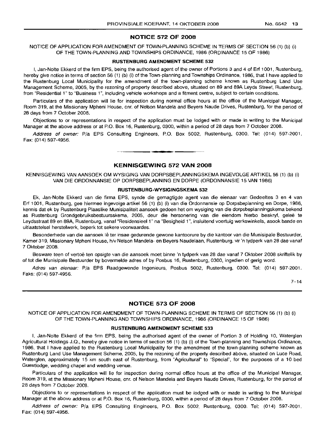#### **NOTICE 572 OF 2008**

NOTICE OF APPLICATION FOR AMENDMENT OF TOWN-PLANNING SCHEME IN TERMS OF SECTION 56 (1) (b) (i) OF THE TOWN-PLANNING AND TOWNSHIPS ORDINANCE, 1986 (ORDINANCE 15 OF 1986)

#### **RUSTENBURG AMENDMENT SCHEME** 532

I, Jan-Nolte Ekkerd of the firm EPS, being the authorised agent of the owner of Portions 3 and 4 of Erf 1001, Rustenburg, hereby give notice in terms of section 56 (1) (b) (i) of the Town-planning and Townships Ordinance, 1986, that I have applied to the Rustenburg Local Municipality for the amendment of the town-planning scheme known as Rustenburg Land Use Management Scheme, 2005, by the rezoning of property described above, situated on 89 and 89A Leyds Street, Rustenburg, from "Residential 1" to "Business 1", including vehicle workshops and a fitment centre, subject to certain conditions.

Particulars of the application will lie for inspection during normal office hours at the office of the Municipal Manager, Room 319, at the Missionary Mpheni House, em. of Nelson Mandela and Beyers Naude Drives, Rustenburg, for the period of 28 days from 7 October 2008.

Objections to or representations in respect of the application must be lodged with or made in writing to the Municipal Manager at the above address or at P.O. Box 16, Rustenburg, 0300, within a period of 28 days from 7 October 2008.

Address of owner: Pia EPS Consulting Engineers, P.O. Box 5002, Rustenburg, 0300. Tel: (014) 597-2001. Fax: (014) 597-4956.

# **KENNISGEWING 572 VAN 2008**

**•**

KENNISGEWING VAN AANSOEK OM WYSIGING VAN DORPSBEPLANNINGSKEMA INGEVOLGE ARTIKEL 56 (1) (b) (i) VAN DIE ORDONNANSIE OP DORPSBEPLANNING EN DORPE (ORDONNANSIE 15 VAN 1986)

#### **RUSTENBURG-WYSIGINGSKEMA** 532

Ek, Jan-Nolte Ekkerd van die firma EPS, synde die gemagtigde agent van die eienaar van Gedeeltes 3 en 4 van Erf 1001, Rustenburg, gee hiermee ingevolge artikel 56 (1) (b) (i) van die Ordonnansie op Dorpsbeplanning en Dorpe, 1986, kennis dat ek by Rustenburg Plaaslike Munisipaliteit aansoek gedoen het om wysiging van die dorpsbeplanningskema bekend as Rustenburg Grondgebruiksbestuursskema, 2005, deur die hersonering van die eiendom hierbo beskryf, qelee te Leydsstraat 89 en 89A, Rustenburg, vanaf "Residensieel 1" na "Besigheid 1", insluitend voertuig werkswinkels, asook bande en uitlaatstelsel herstelwerk, beperk tot sekere voorwaardes.

Besonderhede van die aansoek lê ter insae gedurende gewone kantoorure by die kantoor van die Munisipale Bestuurder, Kamer 319, Missionary Mpheni House, h/v Nelson Mandela- en Beyers Naudelaan, Rustenburg, vir 'n tydperk van 28 dae vanaf 7 Oktober 2008.

Besware teen of vertoë ten opsigte van die aansoek moet binne 'n tydperk van 28 dae vanaf 7 Oktober 2008 skriftelik by of tot die Munisipale Bestuurder by bovermelde adres of by Posbus 16, Rustenburg, 0300, ingedien of gerig word.

Adres van eienaar: P/a EPS Raadgewende Ingenieurs, Posbus 5002, Rustenburg, 0300. Tel: (014) 597-2001. Faks: (014) 597-4956.

 $7 - 14$ 

#### **NOTICE 573 OF 2008**

NOTICE OF APPLICATION FOR AMENDMENT OF TOWN-PLANNING SCHEME IN TERMS OF SECTION 56 (1) (b) (i) OF THE TOWN-PLANNING AND TOWNSHIPS ORDINANCE, 1986 (ORDINANCE 15 OF 1986)

#### **RUSTENBURG AMENDMENT SCHEME** 533

I, Jan-Nolte Ekkerd of the firm EPS, being the authorised agent of the owner of Portion 3 of Holding 10, Waterglen Agricultural Holdings J.Q., hereby give notice in terms of section 56 (1) (b) (i) of the Town-planning and Townships Ordinance, 1986, that I have applied to the Rustenburg Local Municipality for the amendment of the town-planning scheme known as Rustenburg Land Use Management Scheme, 2005, by the rezoning of the property described above, situated on Luce Road, Waterglen, approximately 15 km south east of Rustenburg, from "Agricultural" to "Special", for the purposes of a 10 bed Guestlodge, wedding chapel and wedding venue.

Particulars of the application will lie for inspection during normal office hours at the office of the Municipal Manager, Room 319, at the Missionary Mpheni House, em. of Nelson Mandela and Beyers Naude Drives, Rustenburg, for the period of 28 days from 7 October 2008.

Objections to or representations in respect of the application must be lodged with or made in writing to the Municipal Manager at the above address or at P.O. Box 16, Rustenburg, 0300, within a period of 28 days from 7 October 2008.

Address of owner: Pia EPS Consulting Engineers, P.O. Box 5002, Rustenburg, 0300. Tel: (014) 597-2001. Fax: (014) 597-4956.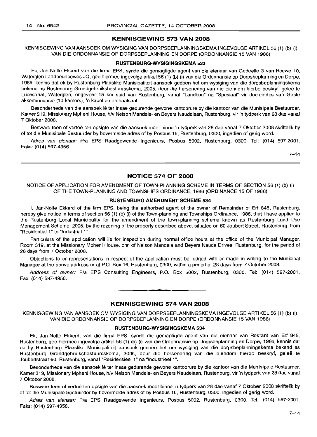# **KENNISGEWING 573 VAN 2008**

KENNISGEWING VAN AANSOEK OM WYSIGING VAN DORPSBEPLANNINGSKEMA INGEVOLGE ARTIKEL 56 (1) (b) (i) VAN DIE ORDONNANSIE OP DORPSBEPLANNING EN DORPE (ORDONNANSIE 15 VAN 1986)

# **RUSTENBURG-WYSIGINGSKEMA 533**

Ek, Jan-Nolte Ekkerd van die firma EPS, synde die gemagtigde agent van die eienaar van Gedeelte 3 van Hoewe 10, Waterglen Landbouhoewes JQ, gee hiermee ingevolge artikel 56 (1) (b) (i) van die Ordonnansie op Dorpsbeplanning en Dorpe, 1986, kennis dat ek by Rustenburg Plaaslike Munisipaliteit aansoek gedoen het om wysiging van die dorpsbeplanningskema bekend as Rustenburg Grondgebruiksbestuursskema, 2005, deur die hersonering van die eiendom hierbo beskryf, geleë te Lucestraat, Waterglen, ongeveer 15 km suid van Rustenburg, vanaf "Landbou" na "Spesiaal" vir doeleindes van Gaste akkommodasie (10 kamers), 'n kapel en onthaalsaal.

Besonderhede van die aansoek lê ter insae gedurende gewone kantoorure by die kantoor van die Munisipale Bestuurder, Kamer 319; Missionary Mpheni House, h/v Nelson Mandela- en Beyers Naudelaan, Rustenburg, vir 'n tydperk van 28 dae vanaf 7 Oktober 2008.

Besware teen of vertoë ten opsigte van die aansoek moet binne 'n tydperk van 28 dae vanaf 7 Oktober 2008 skriftelik by of tot die Munisipale Bestuurder by bovermelde adres of by Posbus 16, Rustenburg, 0300, ingedien of gerig word.

Adres van eienaar: P/a EPS Raadgewende Ingenieurs, Posbus 5002, Rustenburg, 0300. Tel: (014) 597-2001. Faks: (014) 597-4956.

 $7 - 14$ 

### **NOTICE 574 OF 2008**

# NOTICE OF APPLICATION FOR AMENDMENT OF TOWN-PLANNING SCHEME IN TERMS OF SECTION 56 (1) (b) (i) OF THE TOWN-PLANNING AND TOWNSHIPS ORDINANCE, 1986 (ORDINANCE 15 OF 1986)

# **RUSTENBLtRG AMENDMENT SCHEME 534**

I, Jan-Nolte Ekkerd of the firm EPS, being the authorised agent of the owner of Remainder of Erf 845, Rustenburg, hereby give notice in terms of section 56 (1) (b) (i) of the Town-planning and Townships Ordinance, 1986, that I have applied to the Rustenburg Local Municipality for the amendment of the town-planning scheme known as Rustenburg Land Use Management Scheme, 2005, by the rezoning of the property described above, situated on 60 Joubert Street, Rustenburg, from "Residential 1" to "Industrial 1".

Particulars of the application will lie for inspection during normal office hours at the office of the Municipal Manager, Room 319, at the Missionary Mpheni House, em. of Nelson Mandela and Beyers Naude Drives, Rustenburg, for the period of 28 days from 7 October 2008.

Objections to or representations in respect of the application must be lodged with or made in writing to the Municipal Manager at the above address or at P.O. Box 16, Rustenburg, 0300, within a period of 28 days from 7 October 2008.

Address of owner: P/a EPS Consulting Engineers, P.O. Box 5002, Rustenburg, 0300. Tel: (014) 597-2001. Fax: (014) 597-4956.

# **KENNISGEWING 574 VAN 2008**

**• •**

KENNISGEWING VAN AANSOEK OM WYSIGING VAN DORPSBEPLANNINGSKEMA INGEVOLGE ARTIKEL 56 (1) (b) (i) VAN DIE ORDONNANSIE OP DORPSBEPLANNING EN DORPE (ORDONNANSIE 15 VAN 1986)

#### **RUSTENBURG-WYSIGINGSKEMA 534**

Ek, Jan-Nolte Ekkerd, van die firma EPS, synde die gemagtigde agent van die eienaar van Restant van Erf 845, Rustenburg, gee hiermee ingevolge artikel 56 (1) (b) (i) van die Ordonnansie op Dorpsbeplanning en Dorpe, 1986, kennis dat ek by Rustenburg Plaaslike Munisipaliteit aansoek gedoen het om wysiging van die dorpsbeplanningskema bekend as Rustenburg Grondgebruiksbestuursskema, 2005, deur die hersonering van die eiendom hierbo beskryf, geleë te Joubertstraat 60, Rustenburg, vanaf "Residensieel 1" na "Industrieel 1".

Besonderhede van die aansoek lê ter insae gedurende gewone kantoorure by die kantoor van die Munisipale Bestuurder, Kamer 319, Missionary Mpheni House, h/v Nelson Mandela- en Beyers Naudelaan, Rustenburg, vir 'n tydperk van 28 dae vanaf 7 Oktober 2008.

Besware teen of vertoe ten opsigte van die aansoek moet binne 'n tydperk van 28 dae vanaf 7 Oktober 2008 skriftelik by of tot die Munisipale Bestuurder by bovermelde adres of by Posbus 16, Rustenburg, 0300, ingedien of gerig word.

Adres van eienaar: P/a EPS Raadgewende Ingenieurs, Posbus 5002, Rustenburg, 0300. Tel: (014) 597-2001. Faks: (014) 597-4956.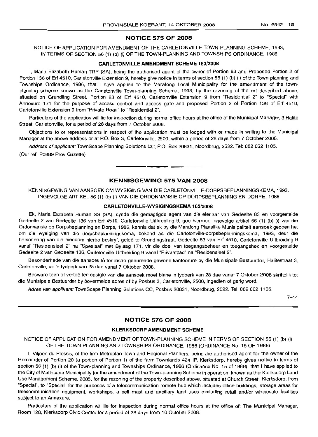# **NOTICE 575 OF 2008**

NOTICE OF APPLICATION FOR AMENDMENT OF THE CARLETONVILLE TOWN-PLANNING SCHEME, 1993, IN TERMS OF SECTION 56 (1) (b) (i) OF THE TOWN-PLANNING AND TOWNSHIPS ORDINANCE, 1986

#### **CARLETONVILLE AMENDMENT SCHEME** 163/2008

I, Maria Elizabeth Human TRP (SA), being the authorised agent of the owner of Portion 83 and Proposed Portion 2 of Portion 136 of Erf 4510, Carletonville Extension 9, hereby give notice in terms of section 56 (1) (b) (i) of the Town-planning and Townships Ordinance, 1986, that I have applied to the Merafong Local Municipality for the amendment of the townplanning scheme known as the Carletonville Town-planning Scheme, 1993, by the rezoning of the erf described above, situated on Grundling Street, Portion 83 of Erf 4510, Carletonville Extension 9 from "Residential 2" to "Special" with Annexure 171 for the purpose of access control and access gate and proposed Portion 2 of Portion 136 of Erf 4510, Carletonville Extension 9 from "Private Road" to "Residential 2".

Particulars of the application will lie for inspection during normal office hours at the office of the Municipal Manager, 3 Halite Street, Carletonville, for a period of 28 days from 7 October 2008.

Objections to or representations in respect of the application must be lodged with or made in writing to the Municipal Manager at the above address or at P.O. Box 3, Carletonville, 2500, within a period of 28 days from 7 October 2008.

Address of applicant: TownScape Planning Solutions CC, P.O. Box 20831, Noordbrug, 2522, Tel: 082 662 **1105.**

(Our ref: P0889 Prov Gazette)

# **KENNISGEWING 575 VAN 2008**

KENNISGEWING VAN AANSOEK OM WYSIGING VAN DIE CARLETONVILLE-DORPSBEPLANNINGSKEMA, 1993, INGEVOLGE ARTIKEL 56 (1) (b) (i) VAN DIE ORDONNANSIE OP DORPSBEPLANNING EN DORPE, 1986

#### **CARLETONVILLE-WYSIGINGSKEMA** 163/2008

Ek, Maria Elizabeth Human SS (SA), synde die gemagtigde agent van die eienaar van Gedeelte 83 en voorgestelde Gedeelte 2 van Gedeelte 136 van Erf 4510, Carletonville Uitbreiding 9, gee hiermee ingevolge artikel 56 (1) (b) (i) van die Ordonnansie op Dorpsbeplanning en Dorpe, 1986, kennis dat ek by die Merafong Plaaslike Munisipaliteit aansoek gedoen het om die wysiging van die dorpsbeplanningskema, bekend as die Carletonville-dorpsbeplanningskema, 1993, deur die hersonering van die eiendom hierbo beskryf, geleë te Grundingstraat, Gedeelte 83 van Erf 4510, Carletonville Uitbreiding 9 vanaf "Residensieel 2" na "Spesiaal" met Bylaag 171, vir die doel van toegangsbeheer en toegangshek en voorgestelde Gedeelte 2 van Gedeelte 136, Carletonville Uitbreiding 9 vanaf "Privaatpad" na "Residensieel 2".

Besonderhede van die aansoek lê ter insae gedurende gewone kantoorure by die Munisipale Bestuurder, Halitestraat 3, Carletonville, vir 'n tydperk van 28 dae vanaf 7 Oktober 2008.

Besware teen of vertoë ten opsigte van die aansoek moet binne 'n tydperk van 28 dae vanaf 7 Oktober 2008 skriftelik tot die Munisipale Bestuurder by bovermelde adres of by Posbus 3, Carletonville, 2500, ingedien of gerig word.

Adres van applikant: TownScape Planning Solutions CC, Posbus 20831, Noordbrug, 2522. Tel: 082 662 **1105.**

 $7 - 14$ 

# **NOTICE 576 OF 2008**

# **KLERKSDORP AMENDMENT SCHEME**

NOTICE OF APPLICATION FOR AMENDMENT OF TOWN-PLANNING SCHEME IN TERMS OF SECTION 56 (1) (b) (i) OF THE TOWN-PLANNING AND TOWNSHIPS ORDINANCE, 1986 (ORDINANCE No. 15 OF 1986)

I, Viljoen du Plessis, of the firm Metroplan Town and Regional Planners, being the authorised agent for the owner of the Remainder of Portion 20 (a portion of Portion 1) of the farm Townlands 424 IP, Klerksdorp, hereby gives notice in terms of section 56 (1) (b) (i) of the Town-planning and Townships Ordinance, 1986 (Ordinance No. 15 of 1986), that I have applied to the City of Matlosana Municipality for the amendment of the Town-planning Scheme in operation, known as the Klerksdorp Land Use Management Scheme, 2005, for the rezoning of the property described above, situated at Church Street, Klerksdorp, from "Special", to "Special" for the purposes of a telecommunication remote hub which includes office buildings, storage areas for telecommunication equipment, workshops, a cell mast and ancillary land uses excluding retail and/or wholesale facilities subject to an Annexure.

Particulars of the application will lie for inspection during normal office hours at the office of: The Municipal Manager, Room 128, Klerksdorp Civic Centre for a period of 28 days from 10 October 2008.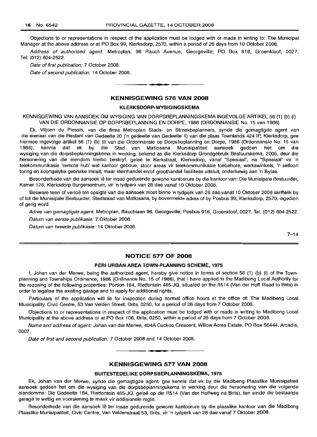Objections to or representations in respect of the application must be lodged with or made in writing to: The Municipal Manager at the above address or at PO Box 99, Klerksdorp, 2570, within a period of 28 days from 10 October 2008.

Address of authorised agent: Metroplan, 96 Rauch Avenue, Georgeville; PO Box 916, Groenkloof, 0027. Tel: (012) 804-2522.

Date of first publication: 7 October 2008.

Date of second publication: 14 October 2008.

### **KENNISGEWING 576 VAN 2008**

• **• I**

#### **KLERKSDORP-WVSIGINGSKEMA**

KENNISGEWING VAN AANSOEK OM WYSIGING VAN DORPSBEPLANNINGSKEMA INGEVOLGE ARTIKEL 56 (1) (b) (i) VAN DIE ORDONNANSIE OP DORPSBEPLANNING EN DORPE, 1986 (ORDONNANSIE No. 15 van 1986)

Ek, Viljoen du Plessis, van die firma Metroplan Stads- en Streekbeplanners, synde die gemagtigde agent van die eienaar van die Restant van Gedeelte 20 ('n gedeelte van Gedeelte 1) van die plaas Townlands 424 IP, Klerksdorp, gee hiermee ingevolge artikel 56 (1) (b) (i) van die Ordonnansie op Dorpsbeplanning en Dorpe, 1986 (Ordonnansie No. 15 van 1986), kennis dat ek by die Stad van Matlosana Munisipaliteit aansoek gedoen het om die wysiging van die dorpsbeplanningskema in werking, bekend as die Klerksdorp Grondgebruik Bestuurskema, 2005, deur die hersonering van die eiendom hierbo beskryf, gelee te Kerkstraat, Klerksdorp, vanaf "Spesiaal", na "Spesiaal" vir 'n telekommunikasie 'remote hub' wat kantoor geboue, stoor areas vir telekommunikasie toebehore, werkswinkels, 'n selfoon toring en soortgelyke gebruike insluit, maar kleinhandel en/of groothandel fasiliteite uitsluit, onderhewig aan 'n Bylae.

Besonderhede van die aansoek lê ter insae gedurende gewone kantoorure by die kantoor van: Die Munisipale Bestuurder, Kamer 128, Klerksdorp Burgersentrum, vir 'n tydperk van 28 dae vanaf 10 Oktober 2008.

Besware teen of vertoë ten opsigte van die aansoek moet binne 'n tydperk van 28 dae vanaf 10 Oktober 2008 skriftelik by of tot die Munisipale Bestuurder, Stadsraad van Matlosana, by bovermelde adres of by Posbus 99, Klerksdorp, 2570, ingedien of gerig word.

Adres van gemagtigde agent: Metroplan, Rauchlaan 96, Georgeville; Posbus 916, Groenkloof, 0027. Tel: (012) 804-2522. Datum van eerste publikasie: 7 Oktober 2008.

Datum van tweede publikasie: 14 Oktober 2008.

 $7 - 14$ 

#### **NOTICE 577 OF 2008**

# **PERI URBAN AREA TOWN·PLANNING SCHEME, 1975**

I, Johan van der Merwe, being the authorized agent, hereby give notice in terms of section 56 (1) (b) (i) of the Townplanning and Townships Ordinance, 1986 (Ordinance No. 15 of 1986), that I have applied to the Madibeng Local Authority for the rezoning of the following properties: Portion 184, Rietfontein 485-JQ, situated on the R514 (Van der Hoff Road to Brits) in order to legalise the existing garage and to apply for additional rights.

Particulars of the application will lie for inspection during normal office hours at the office of: The Madibeng Local Municipality, Civic Centre, 53 Van Velden Street, Brits, 0250, for a period of 28 days from 7 October 2008.

Objections to or representations in respect of the application must be lodged with or made in writing to Madibeng Local Municipality at the above address or at PO Box 106, Brits, 0250, within a period of 28 days from 7 October 2008.

Name and address of agent: Johan van der Merwe, 404A Cuckoo Crescent, Willow Acres Estate, PO Box 56444, Arcadia, 0007.

Date of first and second publication: 7 October 2008 and 14 October 2008.

# **KENNISGEWING 577 VAN 2008**

E **\_ •**

# **BUITESTEDELIKE DORPSBEPLANNINGSKEMA, 1975**

Ek, Johan van der Merwe, synde die gemagtigde agent, gee kennis dat ek by die Madibeng Plaaslike Munisipaliteit aansoek gedoen het om die wysiging van die dorpsbeplanningskema in werking deur die hersonering van die volgende eiendomme: Die Gedeelte 184, Rietfontein 485-JQ, geleë op die R514 (Van der Hoffweg na Brits), ten einde die bestaande garage te wettig en voorsiening te maak vir addisionele regte.

Besonderhede van die aansoek lê ter insae gedurende gewone kantoorure by die plaaslike kantoor van die Madibeng Plaaslike Munisipaliteit, Civic Centre, Van Veldenstraat 53, Brits, vir 'n tydperk van 28 dae vanaf 7 Oktober 2008.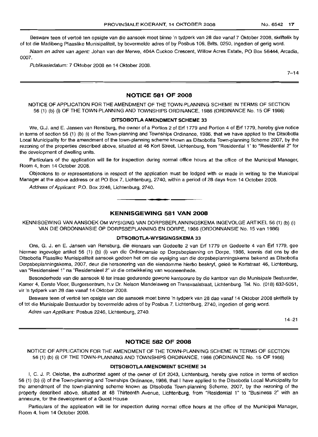Besware teen of vertoë ten opsigte van die aansoek moet binne 'n tydperk van 28 dae vanaf 7 Oktober 2008, skriftelik by of tot die Madibeng Plaaslike Munisipaliteit, by bovermelde adres of by Posbus 106, Brits, 0250, ingedien of gerig word.

Naam en adres van agent: Johan van der Merwe, 404A Cuckoo Crescent, Willow Acres Estate, PO Box 56444, Arcadia, 0007.

Publikasiedatum: 7 Oktober 2008 en 14 Oktober 2008.

 $7 - 14$ 

# **NOTICE 581 OF 2008**

NOTICE OF APPLICATION FOR THE AMENDMENT OF THE TOWN-PLANNING SCHEME IN TERMS OF SECTION 56 (1) (b) (i) OF THE TOWN-PLANNING AND TOWNSHIPS ORDINANCE, 1986 (ORDINANCE No. 15 OF 1986)

# **DITSOBOTLA AMENDMENT SCHEME 33**

We, G.J. and E. Jansen van Rensburg, the owner of a Portion 2 of Erf 1779 and Portion 4 of Erf 1779, hereby give notice in terms of section 56 (1) (b) (i) of the Town-planning and Townships Ordinance, 1986, that we have applied to the Ditsobotla Local Municipality for the amendment of the town-planning scheme known as Ditsobotla Town-planning Scheme 2007, by the rezoning of the properties described above, situated at 46 Kort Street, Lichtenburg, from "Residential 1" to "Residential 2" for the development of dwelling units.

Particulars of the application will lie for inspection during normal office hours at the office of the Municipal Manager, Room 4, from 14 October 2008.

Objections to or representations in respect of the application must be lodged with or made in writing to the Municipal Manager at the above address or at PO Box 7, Lichtenburg, 2740, within a period of 28 days from 14 October 2008.

Address of Applicant: P.O. Box 2246, Lichtenburg, 2740. .**- .**

# **KENNISGEWING 581 VAN 2008**

KENNISGEWING VAN AANSOEK OM WYSIGING VAN DORPSBEPLANNINGSKEMA INGEVOLGE ARTIKEL 56 (1) (b) (i) VAN DIE ORDONNANSIE OP DORPSBEPLANNING EN DORPE, 1986 (ORDONNANSIE No. 15 van 1986)

#### **DITSOBOTLA-WYSIGINGSKEMA 33**

Ons, G. J. en E. Jansen van Rensburg, die eienaars van Gedeelte 2 van Erf 1779 en Gedeelte 4 van Erf 1779, gee hiermee ingevolge artikel 56 (1) (b) (i) van die Ordonnansie op Dorpsbeplanning en Dorpe, 1986, kennis dat ons by die Ditsobotla Plaaslike Munisipaliteit aansoek gedoen het om die wysiging van die dorpsbeplanningskema bekend as Ditsobotla Dorpsbeplanningskema, 2007, deur die hersonering van die eiendomme hierbo beskryf, qelee te Kortstraat 46, Lichtenburg, van "Residensieel 1" na "Residensieel 2" vir die ontwikkeling van wooneenhede.

Besonderhede van die aansoek Ie ter insae gedurende gewone kantoorure by die kantoor van die Munisipale Bestuurder, Kamer 4, Eerste Vloer, Burgersentrum, h.v Dr. Nelson Mandelaweg en Transvaalstraat, Lichtenburg. Tel. No. (018) 632-5051, vir 'n tydperk van 28 dae vanaf 14 Oktober 2008.

Besware teen of vertoe ten opsigte van die aansoek moet binne 'n tydperk van 28 dae vanaf 14 Oktober 2008 skriftelik by of tot die Munisipale Bestuurder by bovermelde adres of by Posbus 7, Lichtenburg, 2740, ingedien of gerig word.

Adres van Applikant: Posbus 2246, Lichtenburg, 2740.

14-21

# **NOTICE 582 OF 2008**

NOTICE OF APPLICATION FOR THE AMENDMENT OF THE TOWN-PLANNING SCHEME IN TERMS OF SECTION 56 (1) (b) (i) OF THE TOWN-PLANNING AND TOWNSHIPS ORDINANCE, 1986 (ORDINANCE No. 15 OF 1986)

# **DITSOBOTLA AMENDMENT SCHEME 34**

I, C. J. P. Oelofse, the authorized agent of the owner of Erf 2043, Lichtenburg, hereby give notice in terms of section 56 (1) (b) (i) of the Town-planning and Townships Ordinance, 1986, that I have applied to the Ditsobotla Local Municipality for the amendment of the town-planning scheme known as Ditsobotla Town-planning Scheme, 2007, by the rezoning of the property described above, situated at 48 Thirteenth Avenue, Lichtenburg, from "Residential 1" to "Business 2" with an annexure, for the development of a Guest House.

Particulars of the application will lie for inspection during normal office hours at the office of the Municipal Manager, Room 4, from 14 October 2008.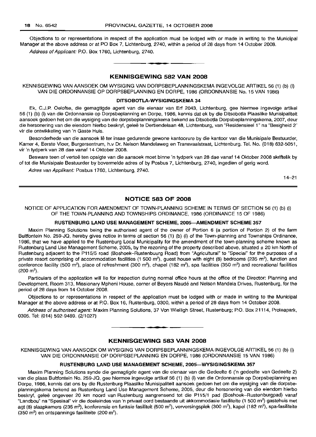Objections to or representations in respect of the application must be lodged with or made in writing to the Municipal Manager at the above address or at PO Box 7, Lichtenburg, 2740, within a period of 28 days from 14 October 2008. Address of Applicant: P.O. Box 1760, Lichtenburg, 2740.

**KENNISGEWING 582 VAN 2008**

• **- I**

KENNISGEWING VAN AANSOEK OM WYSIGING VAN DORPSBEPLANNINGSKEMA INGEVOLGE ARTIKEL 56 (1) (b) (i) VAN DIE ORDONNANSIE OP DORPSBEPLANNING EN DORPE, 1986 (ORDONNANSIE No. 15 VAN 1986)

#### **DITSOBOTLA-WYSIGINGSKEMA 34**

Ek, C.J.P. Oelofse, die gemagtigde agent van die eienaar van Erf 2043, Lichtenburg, gee hiermee ingevolge artikel 56 (1) (b) (i) van die Ordonnansie op Dorpsbeplanning en Dorpe, 1986, kennis dat ek by die Ditsobotla Plaaslike Munisipaliteit aansoek gedoen het om die wysiging van die dorpsbeplanningskema bekend as Ditsobotla Dorpsbeplanningskema, 2007, deur die hersonering van die eiendom hierbo beskryf, geleë te Dertiendelaan 48, Lichtenburg, van "Residensieel 1" na "Besigheid 2" vir die ontwikkeling van 'n Gaste Huis.

Besonderhede van die aansoek lê ter insae gedurende gewone kantoorure by die kantoor van die Munisipale Bestuurder, Kamer 4, Eerste Vloer, Burgersentrum, h.v Dr. Nelson Mandelaweg en Transvaalstraat, Lichtenburg. Tel. No. (018) 632-5051, vir 'n tydperk van 28 dae vanaf 14 Oktober 2008.

Besware teen of vertoë ten opsigte van die aansoek moet binne 'n tydperk van 28 dae vanaf 14 Oktober 2008 skriftelik by of tot die Munisipale Bestuurder by bovermelde adres of by Posbus 7, Lichtenburg, 2740, ingedien of gerig word.

Adres van Applikant: Posbus 1760, Lichtenburg, 2740.

14-21

# **NOTICE 583 OF 2008**

NOTICE OF APPLICATION FOR AMENDMENT OF TOWN-PLANNING SCHEME IN TERMS OF SECTION 56 (1) (b) (i) OF THE TOWN-PLANNING AND TOWNSHIPS ORDINANCE, 1986 (ORDINANCE 15 OF 1986)

#### **RUSTENBURG LAND USE MANAGEMENT SCHEME, 2005-AMENDMENT SCHEME 357**

Maxim Planning Solutions being the authorised agent of the owner of Portion 6 (a portion of Portion 2) of the farm Bultfontein No. 259-JQ, hereby gives notice in terms of section 56 (1) (b) (i) of the Town-planning and Townships Ordinance, 1986, that we have applied to the Rustenburg Local Municipality for the amendment of the town-planning scheme known as Rustenburg Land Use Management Scheme, 2005, by the rezoning of the property described above, situated ± 20 km North of Rustenburg adjacent to the P115/5 road (Boshoek-Rustenbuurg Road) from "Agricultural" to "Special" for the purposes of a private resort comprising of accommodation facilities (1 500  $\text{m}^2$ ), guest house with eight (8) bedrooms (235  $\text{m}^2$ ), function and conference facility (500 m<sup>2</sup>), place of refreshment (300 m<sup>2</sup>), chapel (182 m<sup>2</sup>), spa facilities (350 m<sup>2</sup>) and recreational facilities  $(200 \text{ m}^2)$ .

Particulars of the application will lie for inspection during normal office hours at the office of the Director: Planning and Development, Room 313, Missionary Mpheni House, corner of Beyers Naude and Nelson Mandela Drives, Rustenburg, for the period of 28 days from 14 October 2008.

Objections to or representations in respect of the application must be lodged with or made in writing to the Municipal Manager at the above address or at P.O. Box 16, Rustenburg, 0300, within a period of 28 days from 14 October 2008.

Address of authorised agent: Maxim Planning Solutions, 37 Von Wielligh Street, Rustenburg; P.O. Box 21114, Proteapark, 0305. Tel: (014) 592-9489. (2/1027) .**-.**

### **KENNISGEWING 583 VAN 2008**

KENNISGEWING VAN AANSOEK OM WYSIGING VAN DORPSBEPLANNINGSKEMA INGEVOLGE ARTIKEL 56 (1) (b) (i) VAN DIE ORDONNANSIE OP DORPSBEPLANNING EN DORPE, 1986 (ORDONNANSIE 15 VAN 1986)

# **RUSTENBURG LAND USE MANAGEMENT SCHEME, 2005-WYSIGINGSKEMA 357**

Maxim Planning Solutions synde die gemagtigde agent van die eienaar van die Gedeelte 6 ('n gedeelte van Gedeelte 2) van die plaas Bultfontein No. 259-JQ, gee hiermee ingevolge artikel 56 (1) (b) (i) van die Ordonnansie op Dorpsbeplanning en Dorpe, 1986, kennis dat ons by die Rustenburg Plaaslike Munisipaliteit aansoek gedoen het om die wysiging van die dorpsbeplanningskema bekend as Rustenburg Land Use Management Scheme, 2005, deur die hersonering van die eiendom hierbo beskryf, gelee ongeveer 20 km noord van Rustenburg aangrensend tot die P115/1 pad (Boshoek-Rustenburgpad) vanaf "Landbou" na "Spesiaal" vir die doeleindes van 'n privaat oord bestaande uit akkommodasie fasiliteite (1 500 m<sup>2</sup>) gastehuis met agt (8) slaapkamers (235 m²), konferensie en funksie fasiliteit (500 m²), verversingsplek (300 m²), kapel (182 m²), spa-fasiliteite (350 m<sup>2</sup>) en ontspannings fasiliteite (200 m<sup>2</sup>).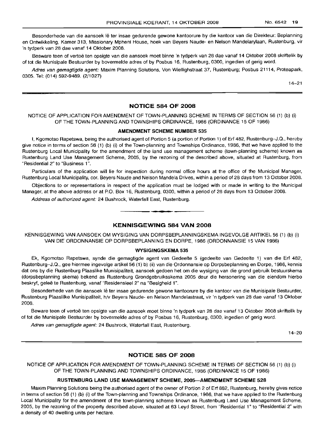Besonderhede van die aansoek lê ter insae gedurende gewone kantoorure by die kantoor van die Direkteur: Beplanning en Ontwikkeling, Kamer 313, Missionary Mpheni House, hoek van Beyers Naude- en Nelson Mandelarylaan, Rustenburg, vir 'n tydperk van 28 dae vanaf 14 Oktober 2008.

Besware teen of vertoë ten opsigte van die aansoek moet binne 'n tydperk van 28 dae vanaf 14 Oktober 2008 skriftelik by of tot die Munisipale Bestuurder by bovermelde adres of by Posbus 16, Rustenburg, 0300, ingedien of gerig word.

Adres van gemagtigde agent: Maxim Planning Solutions, Von Wiellighstraat 37, Rustenburg; Posbus 21114, Proteapark, 0305. Tel: (014) 592-9489. (2/1027)

14-21

# **NOTICE 584 OF 2008**

# NOTICE OF APPLICATION FOR AMENDMENT OF TOWN-PLANNING SCHEME IN TERMS OF SECTION 56 (1) (b) (i) OF THE TOWN-PLANNING AND TOWNSHIPS ORDINANCE, 1986 (ORDINANCE 15 OF 1986)

#### **AMENDMENT SCHEME NUMBER 535**

I, Kgomotso Rapetswa, being the authorised agent of Portion 5 (a portion of Portion 1) of Erf 482, Rustenburg-J.Q., hereby give notice in terms of section 56 (1) (b) (i) of the Town-planning and Townships Ordinance, 1986, that we have applied to the Rustenburg Local Municipality for the amendment of the land use management scheme (town-planning scheme) known as Rustenburg Land Use Management Scheme, 2005, by the rezoning of the described above, situated at Rustenburg, from "Residential 2" to "Business 1".

Particulars of the application will lie for inspection during normal office hours at the office of the Municipal Manager, Rustenburg Local Municipality, cor. Beyers Naude and Nelson Mandela Drives, within a period of 28 days from 13 October 2008.

Objections to or representations in respect of the application must be lodged with or made in writing to the Municipal Manager, at the above address or at P.O. Box 16, Rustenburg, 0300, within a period of 28 days from 13 October 2008.

Address of authorized agent: 24 Bushrock, Waterfall East, Rustenburg.

# **KENNISGEWING 584 VAN 2008**

**• •**

KENNISGEWING VAN AANSOEK OM WYSIGING VAN DORPSBEPLANNINGSKEMA INGEVOLGE ARTIKEL 56 (1) (b) (i) VAN DIE ORDONNANSIE OP DORPSBEPLANNING EN DORPE, 1986 (ORDONNANSIE 15 VAN 1986)

#### **WYSIGINGSKEMA 535**

Ek, Kgomotso Rapetswa, synde die gemagtigde agent van Gedeelte 5 (gedeelte van Gedeelte 1) van die Erf 482, Rustenburg-J.Q., gee hiermee ingevolge artikel 56 (1) b) (ii) van die Ordonnansie op Dorpsbeplanning en Dorpe, 1986, kennis dat ons by die Rustenburg Plaaslike Munisipaliteit, aansoek gedoen het om die wysiging van die grond gebruik bestuurskema (dorpsbeplanning skema) bekend as Rustenburg Grondgebruiksskema 2005 deur die hersonering van die eiendom hierbo beskryf, geleë te Rustenburg, vanaf "Residensieel 2" na "Besigheid 1".

Besonderhede van die aansoek lê ter insae gedurende gewone kantoorure by die kantoor van die Munisipale Bestuurder, Rustenburg Plaaslilke Munisipaliteit, h/v Beyers Naude- en Nelson Mandelastraat, vir 'n tydperk van 28 dae vanaf 13 Oktober 2008.

Beware teen of vertoe ten opsigte van die aansoek moet binne 'n tydperk van 28 dae vanaf 13 Oktober 2008 skriftelik by of tot die Munisipale Bestuurder by bovermelde adres of by Posbus 16, Rustenburg, 0300, ingedien of gerig word.

Adres van gemagtigde agent: 24 Bushrock, Waterfall East, Rustenburg.

14-20

# **NOTICE 585 OF 2008**

NOTICE OF APPLICATION FOR AMENDMENT OF TOWN-PLANNING SCHEME IN TERMS OF SECTION 56 (1) (b) (i) OF THE TOWN-PLANNING AND TOWNSHIPS ORDINANCE, 1986 (ORDINANCE 15 OF 1986)

#### **RUSTENBURG LAND USE MANAGEMENT SCHEME, 2005-AMENDMENT SCHEME 528**

Maxim Planning Solutions being the authorised agent of the owner of Portion 2 of Erf 882, Rustenburg, hereby gives notice in terms of section 56 (1) (b) (i) of the Town-planning and Townships Ordinance, 1986, that we have applied to the Rustenburg Local Municipality for the amendment of the town-planning scheme known as Rustenburg Land Use Management Scheme, 2005, by the rezoning of the property described above, situated at 63 Leyd Street, from "Residential 1" to "Residential 2" with a density of 40 dwelling units per hectare.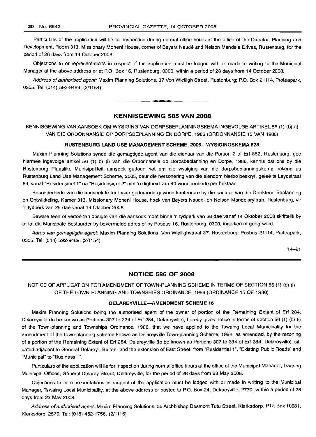Particulars of the application will lie for inspection during normal office hours at the office of the Director: Planning and Development, Room 313, Missionary Mpheni House, corner of Beyers Naude and Nelson Mandela Drives, Rustenburg, for the period of 28 days from 14 October 2008.

Objections to or representations in respect of the application must be lodged with or made in writing to the Municipal Manager at the above address or at P.O. Box 16, Rustenburg, 0300, within a period of 28 days from 14 October 2008.

Address of authorised agent: Maxim Planning Solutions, 37 Von Wielligh Street, Rustenburg; P.O. Box 21114, Proteapark, 0305. Tel: (014) 592-9489. (2/1154)

# KENNISGEWING 585 VAN 2008

**•**

KENNISGEWING VAN AANSOEK OM WYSIGING VAN DORPSBEPLANNINGSKEMA INGEVOLGE ARTIKEL 56 (1) (b) (i) VAN DIE ORDONNANSIE OP DORPSBEPLANNING EN DORPE, 1986 (ORDONNANSIE 15 VAN 1986)

#### RUSTENBURG LAND USE MANAGEMENT SCHEME, 2005-WVSIGINGSKEMA 528

Maxim Planning Solutions synde die gemagtigde agent van die eienaar van die Portion 2 of Erf 882, Rustenburg, gee hiermee ingevolge artikel 56 (1) b) (i) van die Ordonnansie op Dorpsbeplanning en Dorpe, 1986, kennis dat ons by die Rustenburg Plaaslike Munisipaliteit aansoek gedoen het om die wysiging van die dorpsbeplanningskema bekend as Rustenburg Land Use Management Scheme, 2005, deur die hersonering van die eiendom hierbo beskryf, gelee te Leydstraat 63, vanaf "Residensieel 1" na "Residensieel 2" met 'n digtheid van 40 wooneenhede per hektaar.

Besonderhede van die aansoek Ie ter insae gedurende gewone kantoorure by die kantoor van die Direkteur: Beplanning en Ontwikkeling, Kamer 313, Missionary Mpheni House, hoek van Beyers Naude- en Nelson Mandelarylaan, Rustenburg, vir 'n tydperk van 28 dae vanaf 14 Oktober 2008.

Beware teen of vertoë ten opsigte van die aansoek moet binne 'n tydperk van 28 dae vanaf 14 Oktober 2008 skriftelik by of tot die Munsipale Bestuurder by bovermelde adres of by Posbus 16, Rustenburg, 0300, ingedien of gerig word.

Adres van gemagtigde agent: Maxim Planning Solutions, Von Wiellighstraat 37, Rustenburg; Posbus 21114, Proteapark, 0305. Tel: (014) 592-9489. (2/1154)

14-21

# NOTICE 586 OF 2008

NOTICE OF APPLICATION FOR AMENDMENT OF TOWN-PLANNING SCHEME IN TERMS OF SECTION 56 (1) (b) (i) OF THE TOWN-PLANNING AND TOWNSHIPS ORDINANCE, 1986 (ORDINANCE 15 OF 1986)

#### DELAREYVILLE-AMENDMENT SCHEME 16

Maxim Planning Solutions being the authorised agent of the owner of portion of the Remaining Extent of Erf 284, Delareyville (to be known as Portions 307 to 334 of Erf 284, Delareyville), hereby gives notice in terms of section 56 (1) (b) (i) of the Town-planning and Townships Ordinance, 1986, that we have applied to the Tswaing Local Municipality for the amendment of the town-planning scheme known as Delareyville Town-planning Scheme, 1998, as amended, by the rezoning of a portion of the Remaining Extent of Erf 284, Delareyville (to be known as Portions 307 to 334 of Erf 284, Delareyville), situated adjacent to General Delarey-, Buiten- and the extension of East Street, from "Residential 1", "Existing Public Roads" and "Municipal" to "Business 1".

Particulars of the application will lie for inspection during normal office hours at the office of the Municipal Manager, Tswaing Municipal Offices, General Delarey Street, Delareyville, for the period of 28 days from 23 May 2008.

Objections to or representations in respect of the application must be lodged with or made in writing to the Municipal Manager, Tswaing Local Municipality, at the above address or posted to P.O. Box 24, Delareyville, 2770, within a period of 28 days from 23 May 2008.

Address of authorised agent: Maxim Planning Solutions, 56 Archbishop Desmont Tutu Street, Klerksdorp, P.O. Box 10681, Klerksdorp, 2570. Tel: (018) 462-1756. (2/1116)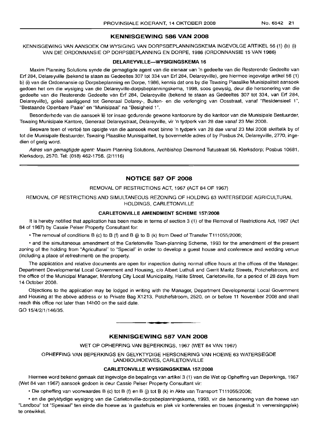# **KENNISGEWING 586 VAN 2008**

KENNISGEWING VAN AANSOEK OM WYSIGING VAN DORPSBEPLANNINGSKEMA INGEVOLGE ARTIKEL 56 (1) (b) (i) VAN DIE ORDONNANSIE OP DORPSBEPLANNING EN DORPE, 1986 (ORDONNANSIE 15 VAN 1986)

#### **DELAREYVILLE-WYSIGINGSKEMA 16**

Maxim Planning Solutions synde die gemagtigde agent van die eienaar van 'n gedeelte van die Resterende Gedeelte van Erf 284, Delareyville (bekend te staan as Gedeeltes 307 tot 334 van Erf 284, Delareyville), gee hiermee ingevolge artikel56 (1) b) (i) van die Ordonnansie op Dorpsbeplanning en Dorpe, 1986, kennis dat ons by die Tswaing Plaaslike Munisipaliteit aansoek gedoen het om die wysiging van die Delareyville-dorpsbeplanningskema, 1998, soos gewysig, deur die hersonering van die gedeelte van die Resterende Gedeelte van Erf 284, Delareyville (bekend te staan as Gedeeltes 307 tot 334, van Erf 284, Delareyville), geleë aanliggend tot Generaal Delarey-, Buiten- en die verlenging van Oosstraat, vanaf "Residensieel 1", "Bestaande Openbare Paaie" en "Munisipaal" na "Besigheid 1".

Besonderhede van die aansoek Ie ter insae gedurende gewone kantoorure by die kantoor van die Munisipale Bestuurder, Tswaing Munisipale Kantore, Generaal Delareystraat, Delareyville, vir 'n tydperk van 28 dae vanaf 23 Mei 2008.

Besware teen of vertoe ten opsigte van die aansoek moet binne 'n tydperk van 28 dae vanaf 23 Mei 2008 skriftelik by of tot die Munisipale Bestuurder, Tswaing Plaaslike Munisipaliteit, by bovermelde adres of by Posbus 24, Delareyville, 2770, ingedien of gerig word.

Adres van gemagtigde agent: Maxim Planning Solutions, Archbishop Desmond Tutustraat 56, Klerksdorp; Posbus 10681, Klerksdorp, 2570. Tel: (018) 462-1756. (2/1116)

# **NOTICE 587 OF 2008**

#### REMOVAL OF RESTRICTIONS ACT, 1967 (ACT 84 OF 1967)

REMOVAL OF RESTRICTIONS AND SIMULTANEOUS REZONING OF HOLDING 63 WATERSEDGE AGRICULTURAL HOLDINGS, CARLETONVILLE

#### **CARLETONVILLE AMENDMENT SCHEME** 157/2008

It is hereby notified that application has been made in terms of section 3 (1) of the Removal of Restrictions Act, 1967 (Act 84 of 1967) by Cassie Peiser Property Consultant for:

• The removal of conditions B (c) to B (f) and B (j) to B (k) from Deed of Transfer T111055/2006;

• and the simultaneous amendment of the Carletonville Town-planning Scheme, 1993 for the amendment of the present zoning of the holding from "Agricultural" to "Special" in order to develop a guest house and conference and wedding venue (including a place of refreshment) on the property.

The application and relative documents are open for inspection during normal office hours at the offices of the Manager: Department Developmental Local Government and Housing, c/o Albert Luthuli and Gerrit Maritz Streets, Potchefstroom, and the office of the Municipal Manager, Merafong City Local Municipality, Halite Street, Carletonville, for a period of 28 days from 14 October 2008.

Objections to the application may be lodged in writing with the Manager, Department Developmental Local Government and Housing at the above address or to Private Bag X1213, Potchefstroom, 2520, on or before 11 November 2008 and shall reach this office not later than 14hOO on the said date.

GO 15/4/2/1/146/35.

### **KENNISGEWING 587 VAN 2008**

.**- .**

WET OP OPHEFFING VAN BEPERKINGS, 1967 (WET 84 VAN 1967)

OPHEFFING VAN BEPERKINGS EN GELYKTYDIGE HERSONERING VAN HOEWE 63 WATERSEGDE LANDBOUHOEWES, CARLETONVILLE

#### **CARLETONVILLE WYSIGINGSKEMA** 157/2008

Hiermee word bekend gemaak dat ingevolge die bepalings van artikel 3 (1) van die Wet op Opheffing van Beperkings, 1967 (Wet 84 van 1967) aansoek gedoen is deur Cassie Peiser Property Consultant vir:

• Die opheffing van voorwaardes B (c) tot B (f) en B G) tot B (k) in Akte van Transport Tl11 055/2006;

• en die gelyktydige wysiging van die Carletonville-dorpsbeplanningskema. 1993, vir die hersonering van die hoewe van "Landbou" tot "Spesiaal" ten einde die hoewe as 'n gastehuis en plek vir konferensies en troues (ingesluit 'n verversingsplek) te ontwikkel.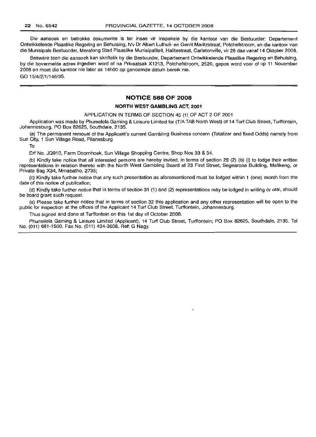Die aansoek en betrokke dokumente is ter insae vir inspeksie by die kantoor van die Bestuurder: Departement Ontwikkelende Plaaslike Regering en Behuising, h/v Dr Albert Luthuli- en Gerrit Maritzstraat, Potchefstroom, en die kantoor van die Munisipale Bestuurder, Merafong Stad Plaaslike Munisipaliteit, Halitestraat, Carletonville, vir 28 dae vanaf 14 Oktober 2008.

Besware teen die aansoek kan skriftelik by die Bestuurder, Departement Ontwikkelende Plaaslike Regering en Behuising, by die bovermelde adres ingedien word of na Privaatsak X1213, Potchefstroom, 2520, gepos word voor of op 11 November 2008 en moet die kantoor nie later as 14hOO op genoemde datum bereik nie. GO 15/4/2/1/146/35.

# **NOTICE 588 OF 2008**

#### **NORTH WEST GAMBLING ACT, 2001**

APPLICATION IN TERMS OF SECTION 45 (1) OF ACT 2 OF 2001

Application was made by Phumelela Gaming & Leisure Limited for (T/ATAB North West) of 14 Turf Club Street, Turffontein, Johannesburg, PO Box 82625, Southdale, 2135.

(a) The permanent removal of the Applicant's current Gambling Business concern (Totalizer and fixed Odds) namely from Sun City, 1 Sun Village Road, Pilanesburg

To

Erf No. JQ910, Farm Doornhoek, Sun Village Shopping Centre, Shop Nos 33 & 34.

(b) Kindly take notice that all interested persons are hereby invited, in terms of section 29 (2) (b) (i) to lodge their written representations in relation thereto with the North West Gambling Board at 23 First Street, Segearona Building, Mafikeng, or Private Bag X34, Mmabatho, 2735;

(c) Kindly take further notice that any such presentation as aforementioned must be lodged within 1 (one) month from the date of this notice of publication;

(d) Kindly take further notice that in terms of section 31 (1) and (2) representations may be lodged in writing or oral, should be board grant such request.

(e) Please take further notice that in terms of section 32 this application and any other representation will be open to the public for inspection at the offices of the Applicant 14 Turf Club Street, Turffontein, Johannesburg.

Thus signed and done at Turffontein on this 1st day of October 2008.

Phumelela Gaming & Leisure Limited (Applicant), 14 Turf Club Street, Turffontein; PO Box 82625, Southdale, 2135. Tel No. (011) 681-1500. Fax No. (011) 434-3608. Ref: G Nagy.